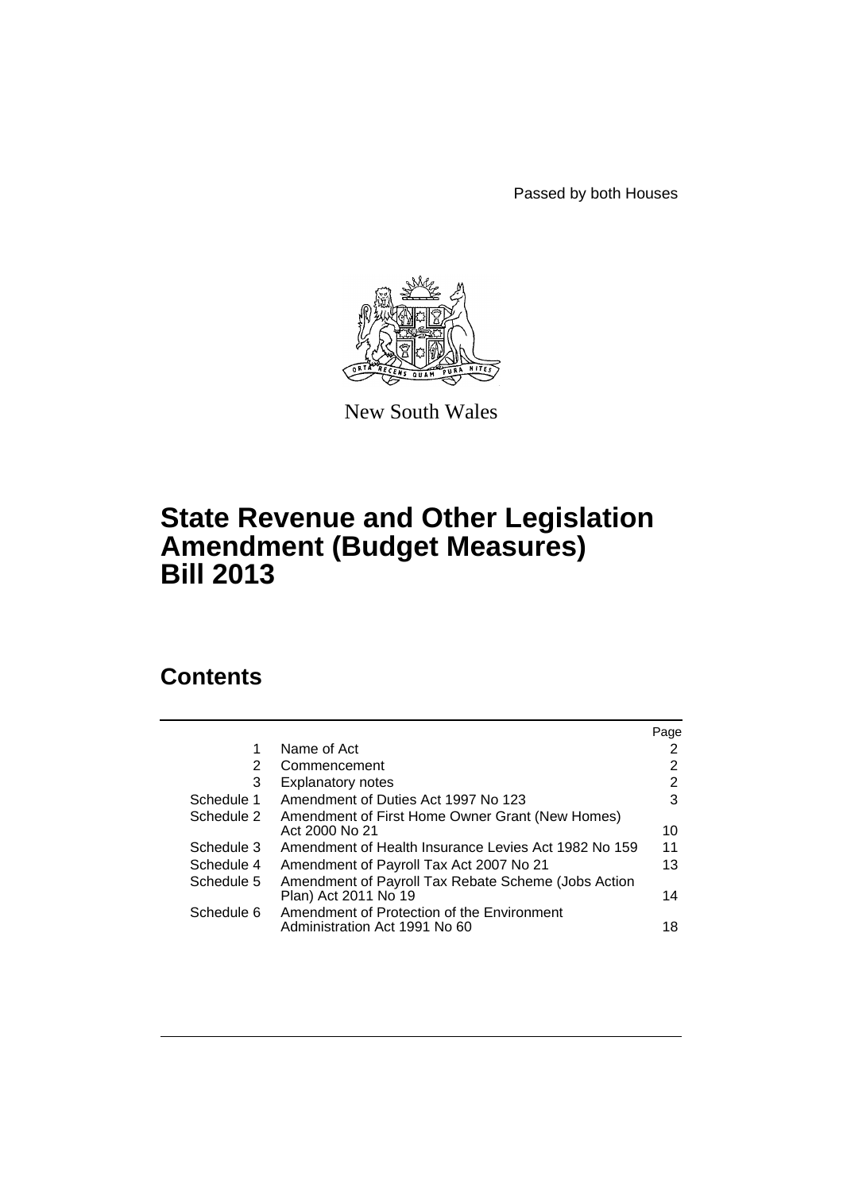Passed by both Houses



New South Wales

# **State Revenue and Other Legislation Amendment (Budget Measures) Bill 2013**

# **Contents**

|            |                                                                             | Page |
|------------|-----------------------------------------------------------------------------|------|
| 1          | Name of Act                                                                 | 2    |
| 2          | Commencement                                                                | 2    |
| 3          | <b>Explanatory notes</b>                                                    | 2    |
| Schedule 1 | Amendment of Duties Act 1997 No 123                                         | 3    |
| Schedule 2 | Amendment of First Home Owner Grant (New Homes)<br>Act 2000 No 21           | 10   |
| Schedule 3 | Amendment of Health Insurance Levies Act 1982 No 159                        | 11   |
| Schedule 4 | Amendment of Payroll Tax Act 2007 No 21                                     | 13   |
| Schedule 5 | Amendment of Payroll Tax Rebate Scheme (Jobs Action<br>Plan) Act 2011 No 19 | 14   |
| Schedule 6 | Amendment of Protection of the Environment<br>Administration Act 1991 No 60 | 18   |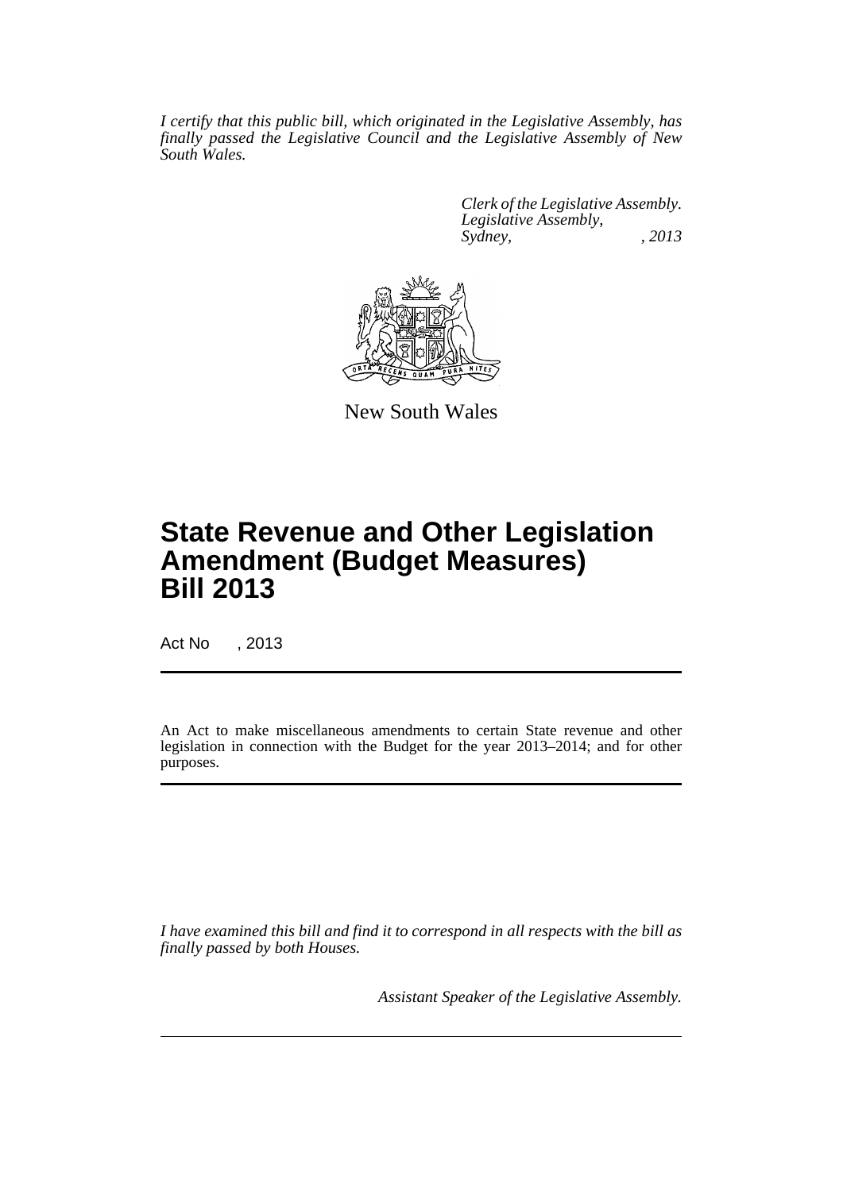*I certify that this public bill, which originated in the Legislative Assembly, has finally passed the Legislative Council and the Legislative Assembly of New South Wales.*

> *Clerk of the Legislative Assembly. Legislative Assembly, Sydney, , 2013*



New South Wales

# **State Revenue and Other Legislation Amendment (Budget Measures) Bill 2013**

Act No , 2013

An Act to make miscellaneous amendments to certain State revenue and other legislation in connection with the Budget for the year 2013–2014; and for other purposes.

*I have examined this bill and find it to correspond in all respects with the bill as finally passed by both Houses.*

*Assistant Speaker of the Legislative Assembly.*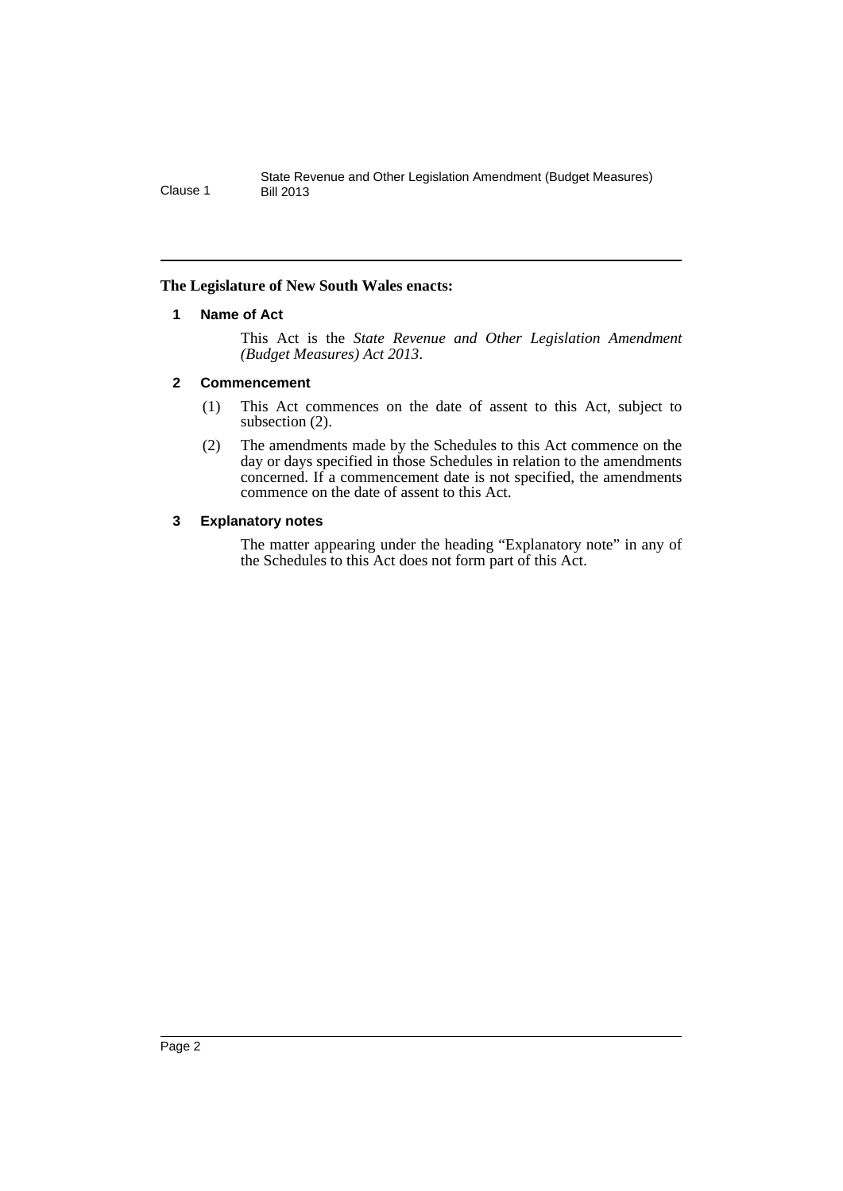## <span id="page-3-0"></span>**The Legislature of New South Wales enacts:**

#### **1 Name of Act**

This Act is the *State Revenue and Other Legislation Amendment (Budget Measures) Act 2013*.

#### <span id="page-3-1"></span>**2 Commencement**

- (1) This Act commences on the date of assent to this Act, subject to subsection (2).
- (2) The amendments made by the Schedules to this Act commence on the day or days specified in those Schedules in relation to the amendments concerned. If a commencement date is not specified, the amendments commence on the date of assent to this Act.

#### <span id="page-3-2"></span>**3 Explanatory notes**

The matter appearing under the heading "Explanatory note" in any of the Schedules to this Act does not form part of this Act.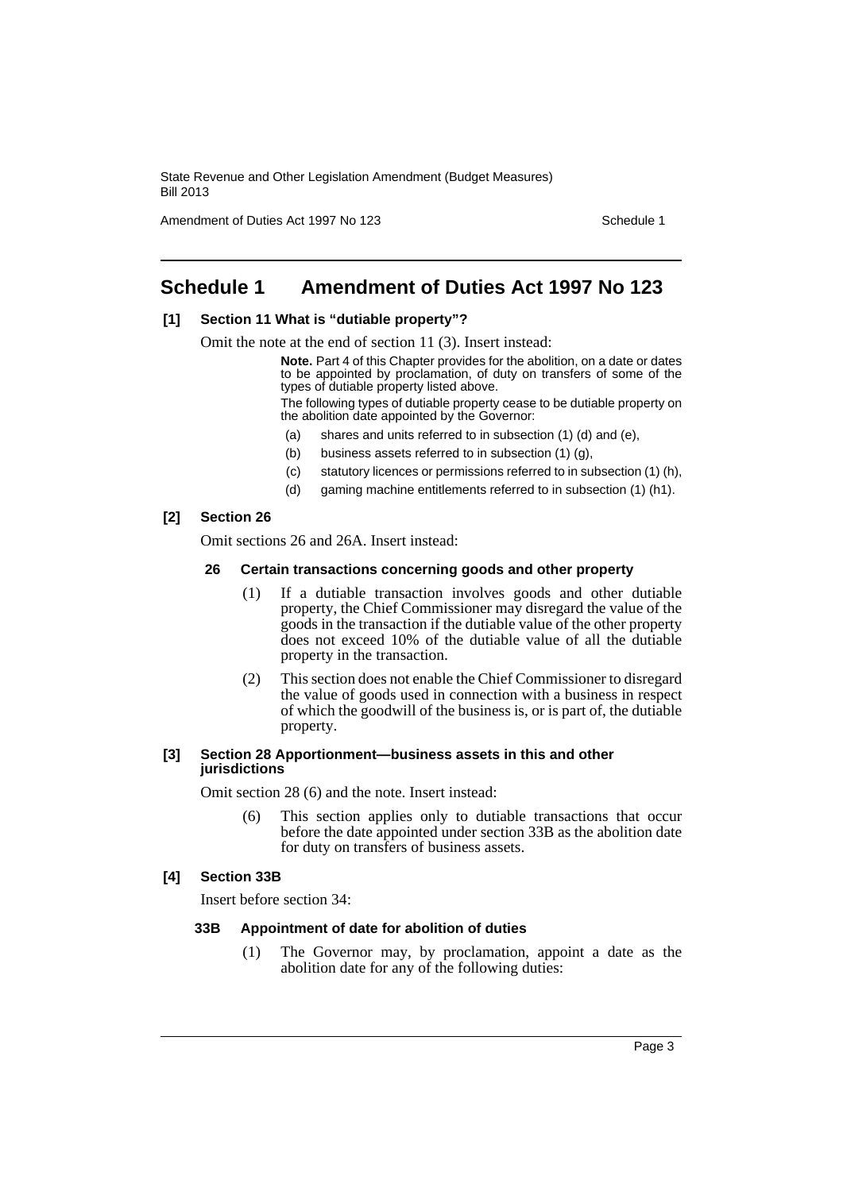Amendment of Duties Act 1997 No 123 Schedule 1

# <span id="page-4-0"></span>**Schedule 1 Amendment of Duties Act 1997 No 123**

### **[1] Section 11 What is "dutiable property"?**

Omit the note at the end of section 11 (3). Insert instead:

**Note.** Part 4 of this Chapter provides for the abolition, on a date or dates to be appointed by proclamation, of duty on transfers of some of the types of dutiable property listed above.

The following types of dutiable property cease to be dutiable property on the abolition date appointed by the Governor:

- (a) shares and units referred to in subsection (1) (d) and (e),
- (b) business assets referred to in subsection  $(1)$   $(a)$ ,
- (c) statutory licences or permissions referred to in subsection (1) (h),
- (d) gaming machine entitlements referred to in subsection (1) (h1).

#### **[2] Section 26**

Omit sections 26 and 26A. Insert instead:

#### **26 Certain transactions concerning goods and other property**

- (1) If a dutiable transaction involves goods and other dutiable property, the Chief Commissioner may disregard the value of the goods in the transaction if the dutiable value of the other property does not exceed 10% of the dutiable value of all the dutiable property in the transaction.
- (2) This section does not enable the Chief Commissioner to disregard the value of goods used in connection with a business in respect of which the goodwill of the business is, or is part of, the dutiable property.

#### **[3] Section 28 Apportionment—business assets in this and other jurisdictions**

Omit section 28 (6) and the note. Insert instead:

(6) This section applies only to dutiable transactions that occur before the date appointed under section 33B as the abolition date for duty on transfers of business assets.

#### **[4] Section 33B**

Insert before section 34:

#### **33B Appointment of date for abolition of duties**

(1) The Governor may, by proclamation, appoint a date as the abolition date for any of the following duties: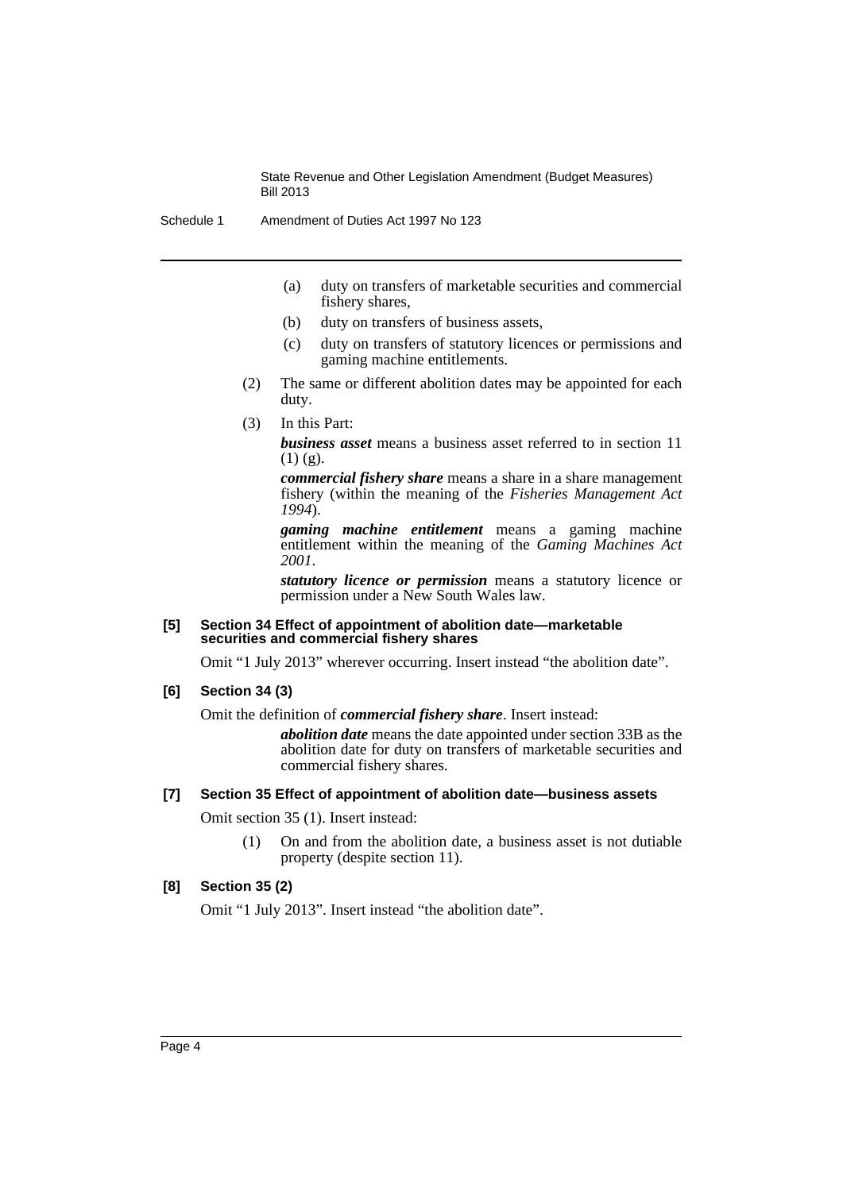Schedule 1 Amendment of Duties Act 1997 No 123

- (a) duty on transfers of marketable securities and commercial fishery shares,
- (b) duty on transfers of business assets,
- (c) duty on transfers of statutory licences or permissions and gaming machine entitlements.
- (2) The same or different abolition dates may be appointed for each duty.
- (3) In this Part:

*business asset* means a business asset referred to in section 11  $(1)$  (g).

*commercial fishery share* means a share in a share management fishery (within the meaning of the *Fisheries Management Act 1994*).

*gaming machine entitlement* means a gaming machine entitlement within the meaning of the *Gaming Machines Act 2001*.

*statutory licence or permission* means a statutory licence or permission under a New South Wales law.

#### **[5] Section 34 Effect of appointment of abolition date—marketable securities and commercial fishery shares**

Omit "1 July 2013" wherever occurring. Insert instead "the abolition date".

# **[6] Section 34 (3)**

Omit the definition of *commercial fishery share*. Insert instead:

*abolition date* means the date appointed under section 33B as the abolition date for duty on transfers of marketable securities and commercial fishery shares.

# **[7] Section 35 Effect of appointment of abolition date—business assets**

Omit section 35 (1). Insert instead:

(1) On and from the abolition date, a business asset is not dutiable property (despite section 11).

# **[8] Section 35 (2)**

Omit "1 July 2013". Insert instead "the abolition date".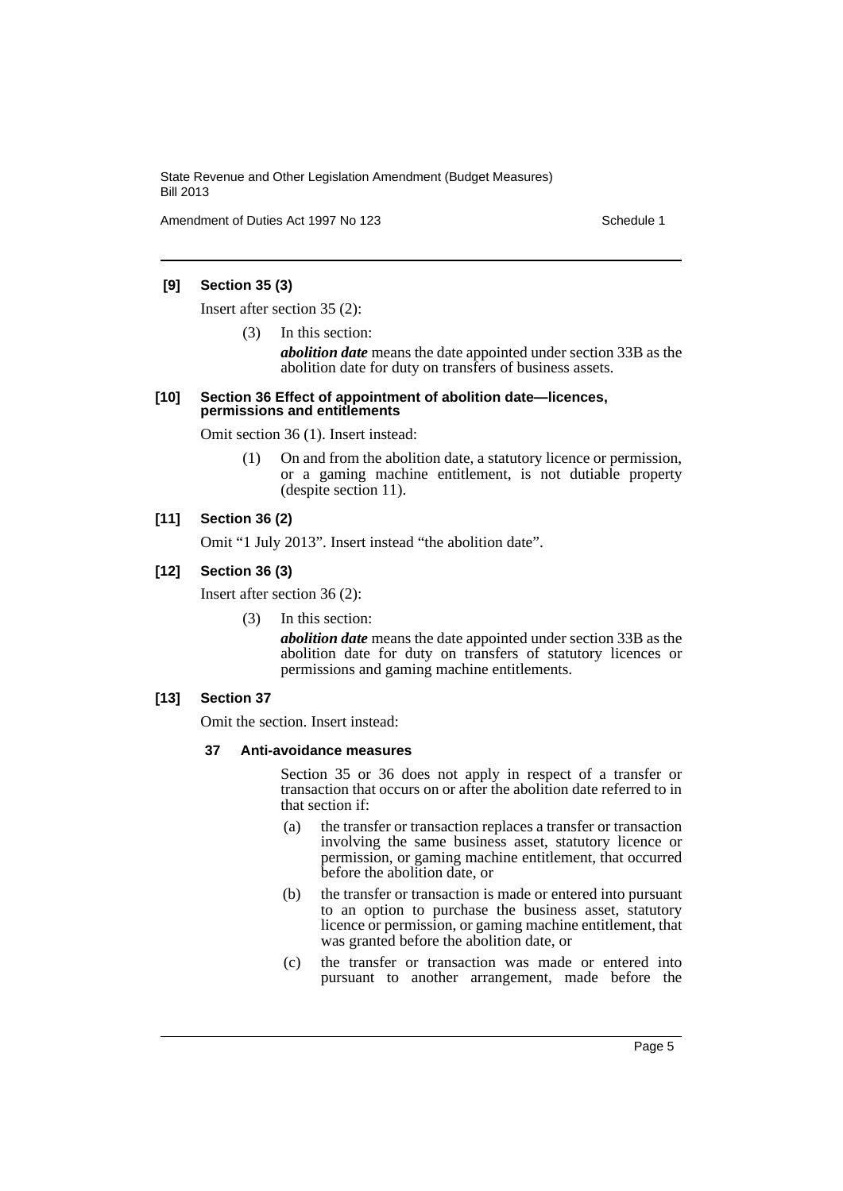Amendment of Duties Act 1997 No 123 Schedule 1

#### **[9] Section 35 (3)**

Insert after section 35 (2):

(3) In this section:

*abolition date* means the date appointed under section 33B as the abolition date for duty on transfers of business assets.

#### **[10] Section 36 Effect of appointment of abolition date—licences, permissions and entitlements**

Omit section 36 (1). Insert instead:

(1) On and from the abolition date, a statutory licence or permission, or a gaming machine entitlement, is not dutiable property (despite section 11).

# **[11] Section 36 (2)**

Omit "1 July 2013". Insert instead "the abolition date".

#### **[12] Section 36 (3)**

Insert after section 36 (2):

(3) In this section:

*abolition date* means the date appointed under section 33B as the abolition date for duty on transfers of statutory licences or permissions and gaming machine entitlements.

#### **[13] Section 37**

Omit the section. Insert instead:

#### **37 Anti-avoidance measures**

Section 35 or 36 does not apply in respect of a transfer or transaction that occurs on or after the abolition date referred to in that section if:

- (a) the transfer or transaction replaces a transfer or transaction involving the same business asset, statutory licence or permission, or gaming machine entitlement, that occurred before the abolition date, or
- (b) the transfer or transaction is made or entered into pursuant to an option to purchase the business asset, statutory licence or permission, or gaming machine entitlement, that was granted before the abolition date, or
- (c) the transfer or transaction was made or entered into pursuant to another arrangement, made before the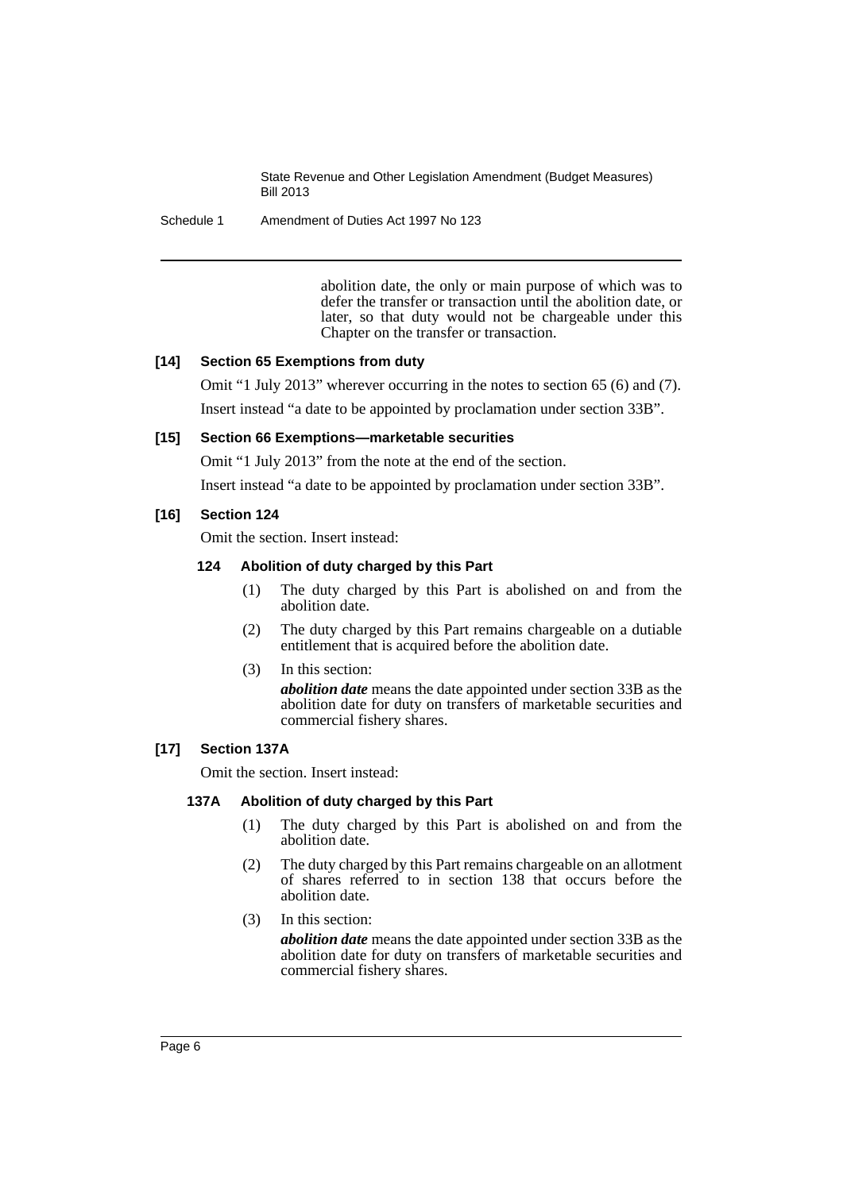Schedule 1 Amendment of Duties Act 1997 No 123

abolition date, the only or main purpose of which was to defer the transfer or transaction until the abolition date, or later, so that duty would not be chargeable under this Chapter on the transfer or transaction.

## **[14] Section 65 Exemptions from duty**

Omit "1 July 2013" wherever occurring in the notes to section 65 (6) and (7). Insert instead "a date to be appointed by proclamation under section 33B".

#### **[15] Section 66 Exemptions—marketable securities**

Omit "1 July 2013" from the note at the end of the section.

Insert instead "a date to be appointed by proclamation under section 33B".

#### **[16] Section 124**

Omit the section. Insert instead:

# **124 Abolition of duty charged by this Part**

- (1) The duty charged by this Part is abolished on and from the abolition date.
- (2) The duty charged by this Part remains chargeable on a dutiable entitlement that is acquired before the abolition date.
- (3) In this section:

*abolition date* means the date appointed under section 33B as the abolition date for duty on transfers of marketable securities and commercial fishery shares.

#### **[17] Section 137A**

Omit the section. Insert instead:

#### **137A Abolition of duty charged by this Part**

- (1) The duty charged by this Part is abolished on and from the abolition date.
- (2) The duty charged by this Part remains chargeable on an allotment of shares referred to in section 138 that occurs before the abolition date.
- (3) In this section:

*abolition date* means the date appointed under section 33B as the abolition date for duty on transfers of marketable securities and commercial fishery shares.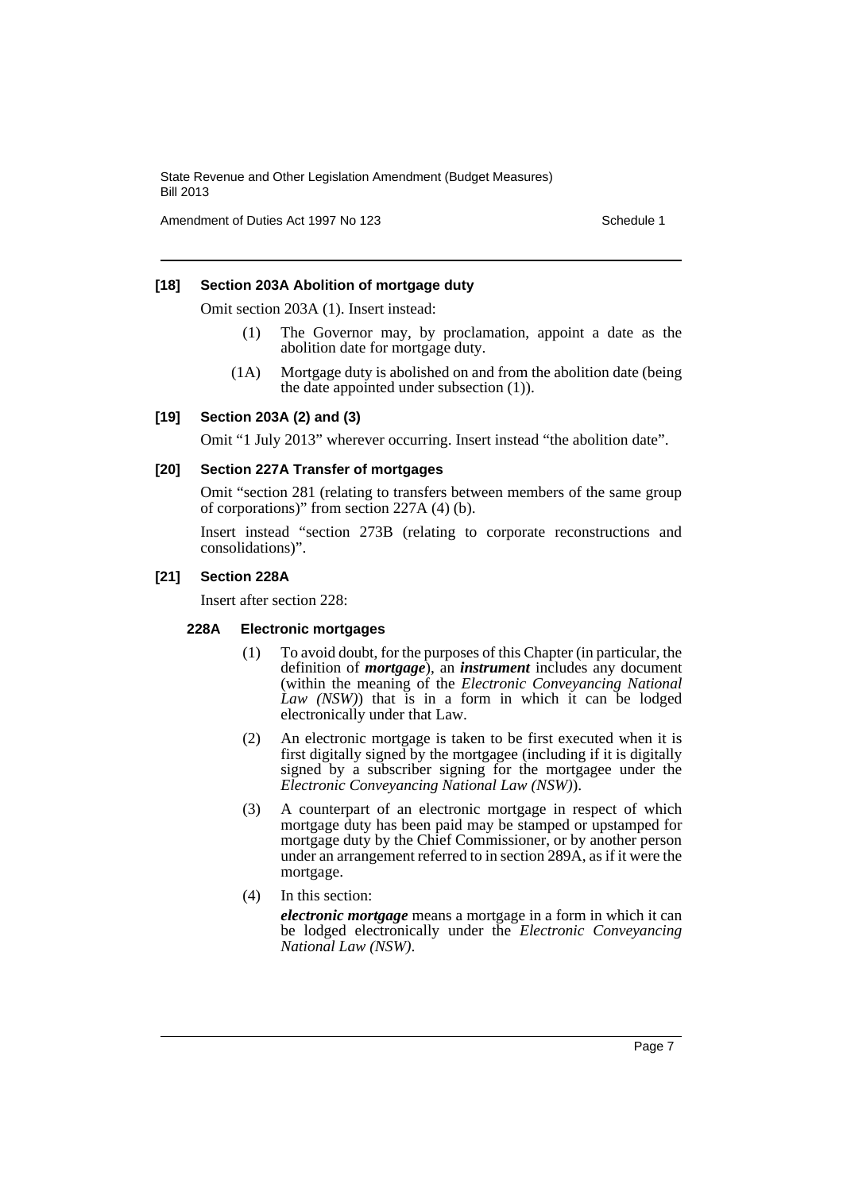Amendment of Duties Act 1997 No 123 Schedule 1

#### **[18] Section 203A Abolition of mortgage duty**

Omit section 203A (1). Insert instead:

- (1) The Governor may, by proclamation, appoint a date as the abolition date for mortgage duty.
- (1A) Mortgage duty is abolished on and from the abolition date (being the date appointed under subsection (1)).

# **[19] Section 203A (2) and (3)**

Omit "1 July 2013" wherever occurring. Insert instead "the abolition date".

#### **[20] Section 227A Transfer of mortgages**

Omit "section 281 (relating to transfers between members of the same group of corporations)" from section 227A (4) (b).

Insert instead "section 273B (relating to corporate reconstructions and consolidations)".

#### **[21] Section 228A**

Insert after section 228:

#### **228A Electronic mortgages**

- (1) To avoid doubt, for the purposes of this Chapter (in particular, the definition of *mortgage*), an *instrument* includes any document (within the meaning of the *Electronic Conveyancing National Law (NSW)*) that is in a form in which it can be lodged electronically under that Law.
- (2) An electronic mortgage is taken to be first executed when it is first digitally signed by the mortgagee (including if it is digitally signed by a subscriber signing for the mortgagee under the *Electronic Conveyancing National Law (NSW)*).
- (3) A counterpart of an electronic mortgage in respect of which mortgage duty has been paid may be stamped or upstamped for mortgage duty by the Chief Commissioner, or by another person under an arrangement referred to in section 289A, as if it were the mortgage.
- (4) In this section:

*electronic mortgage* means a mortgage in a form in which it can be lodged electronically under the *Electronic Conveyancing National Law (NSW)*.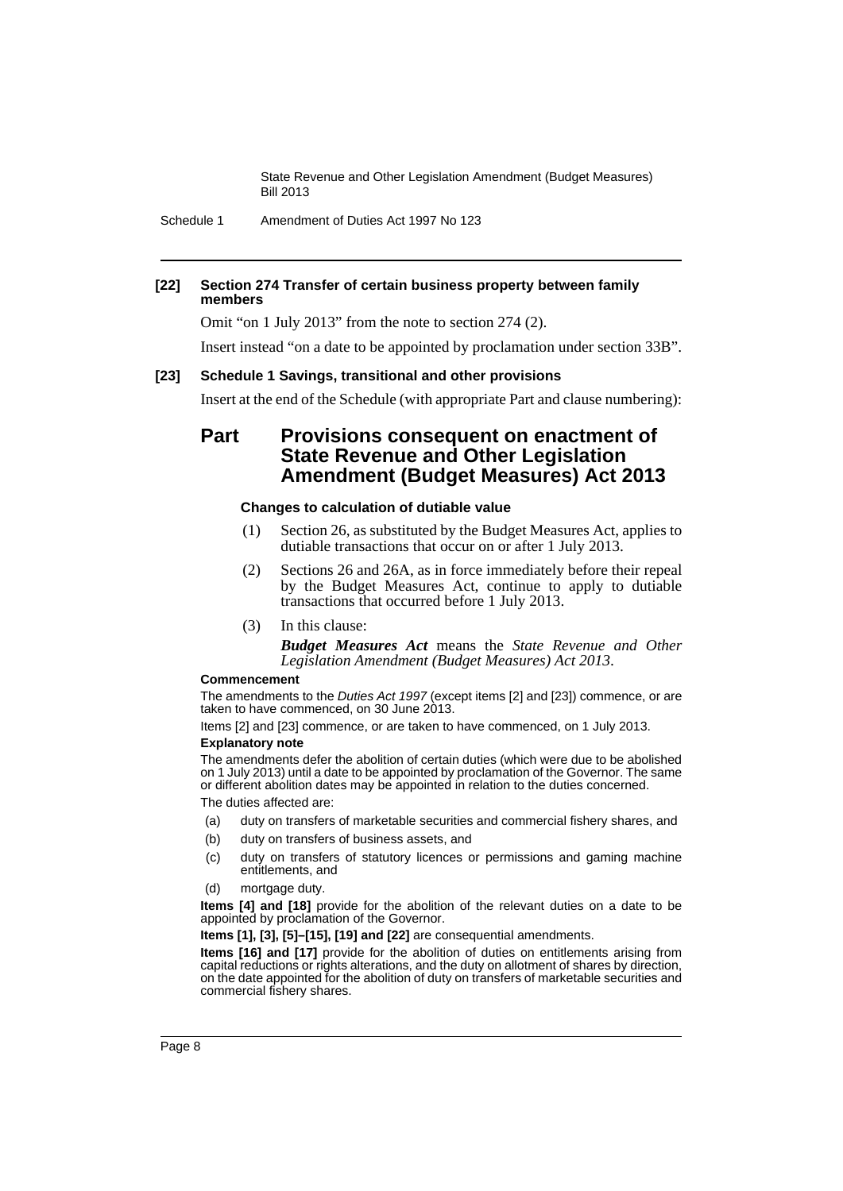Schedule 1 Amendment of Duties Act 1997 No 123

#### **[22] Section 274 Transfer of certain business property between family members**

Omit "on 1 July 2013" from the note to section 274 (2).

Insert instead "on a date to be appointed by proclamation under section 33B".

#### **[23] Schedule 1 Savings, transitional and other provisions**

Insert at the end of the Schedule (with appropriate Part and clause numbering):

**Part Provisions consequent on enactment of State Revenue and Other Legislation Amendment (Budget Measures) Act 2013**

#### **Changes to calculation of dutiable value**

- (1) Section 26, as substituted by the Budget Measures Act, applies to dutiable transactions that occur on or after 1 July 2013.
- (2) Sections 26 and 26A, as in force immediately before their repeal by the Budget Measures Act, continue to apply to dutiable transactions that occurred before 1 July 2013.
- (3) In this clause:

*Budget Measures Act* means the *State Revenue and Other Legislation Amendment (Budget Measures) Act 2013*.

#### **Commencement**

The amendments to the *Duties Act 1997* (except items [2] and [23]) commence, or are taken to have commenced, on 30 June 2013.

Items [2] and [23] commence, or are taken to have commenced, on 1 July 2013.

#### **Explanatory note**

The amendments defer the abolition of certain duties (which were due to be abolished on 1 July 2013) until a date to be appointed by proclamation of the Governor. The same or different abolition dates may be appointed in relation to the duties concerned.

The duties affected are:

- (a) duty on transfers of marketable securities and commercial fishery shares, and
- (b) duty on transfers of business assets, and
- (c) duty on transfers of statutory licences or permissions and gaming machine entitlements, and
- (d) mortgage duty.

**Items [4] and [18]** provide for the abolition of the relevant duties on a date to be appointed by proclamation of the Governor.

**Items [1], [3], [5]–[15], [19] and [22]** are consequential amendments.

**Items [16] and [17]** provide for the abolition of duties on entitlements arising from capital reductions or rights alterations, and the duty on allotment of shares by direction, on the date appointed for the abolition of duty on transfers of marketable securities and commercial fishery shares.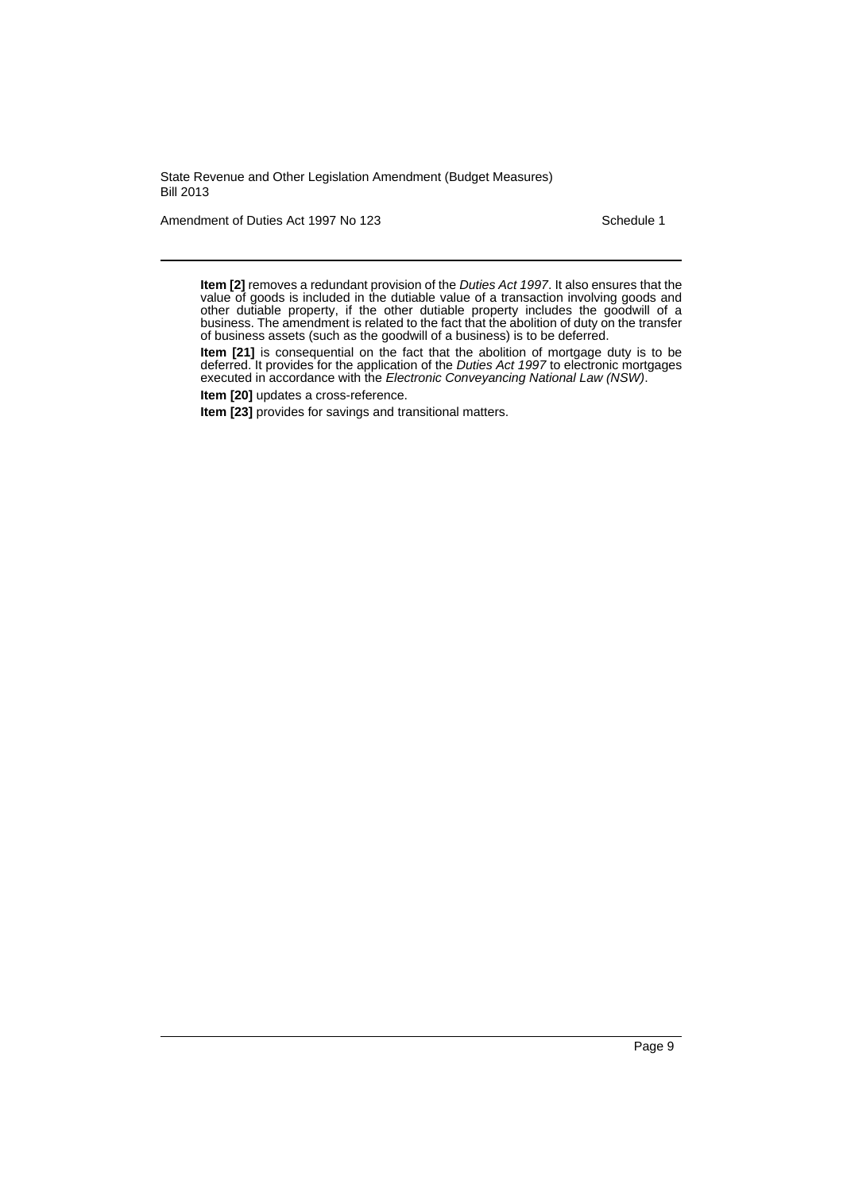Amendment of Duties Act 1997 No 123 Schedule 1

**Item [2]** removes a redundant provision of the *Duties Act 1997*. It also ensures that the value of goods is included in the dutiable value of a transaction involving goods and other dutiable property, if the other dutiable property includes the goodwill of a business. The amendment is related to the fact that the abolition of duty on the transfer of business assets (such as the goodwill of a business) is to be deferred.

**Item [21]** is consequential on the fact that the abolition of mortgage duty is to be deferred. It provides for the application of the *Duties Act 1997* to electronic mortgages executed in accordance with the *Electronic Conveyancing National Law (NSW)*.

**Item [20]** updates a cross-reference.

**Item [23]** provides for savings and transitional matters.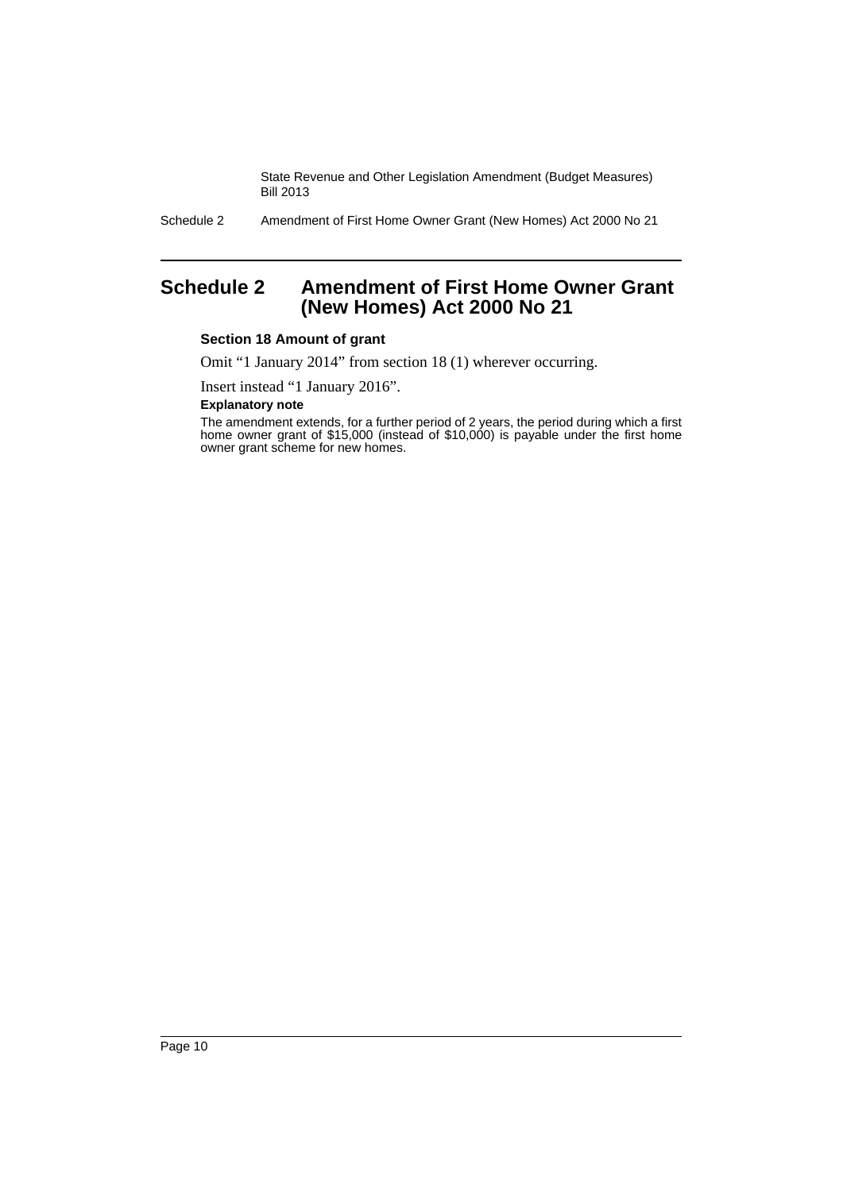Schedule 2 Amendment of First Home Owner Grant (New Homes) Act 2000 No 21

# <span id="page-11-0"></span>**Schedule 2 Amendment of First Home Owner Grant (New Homes) Act 2000 No 21**

# **Section 18 Amount of grant**

Omit "1 January 2014" from section 18 (1) wherever occurring.

Insert instead "1 January 2016".

#### **Explanatory note**

The amendment extends, for a further period of 2 years, the period during which a first home owner grant of \$15,000 (instead of \$10,000) is payable under the first home owner grant scheme for new homes.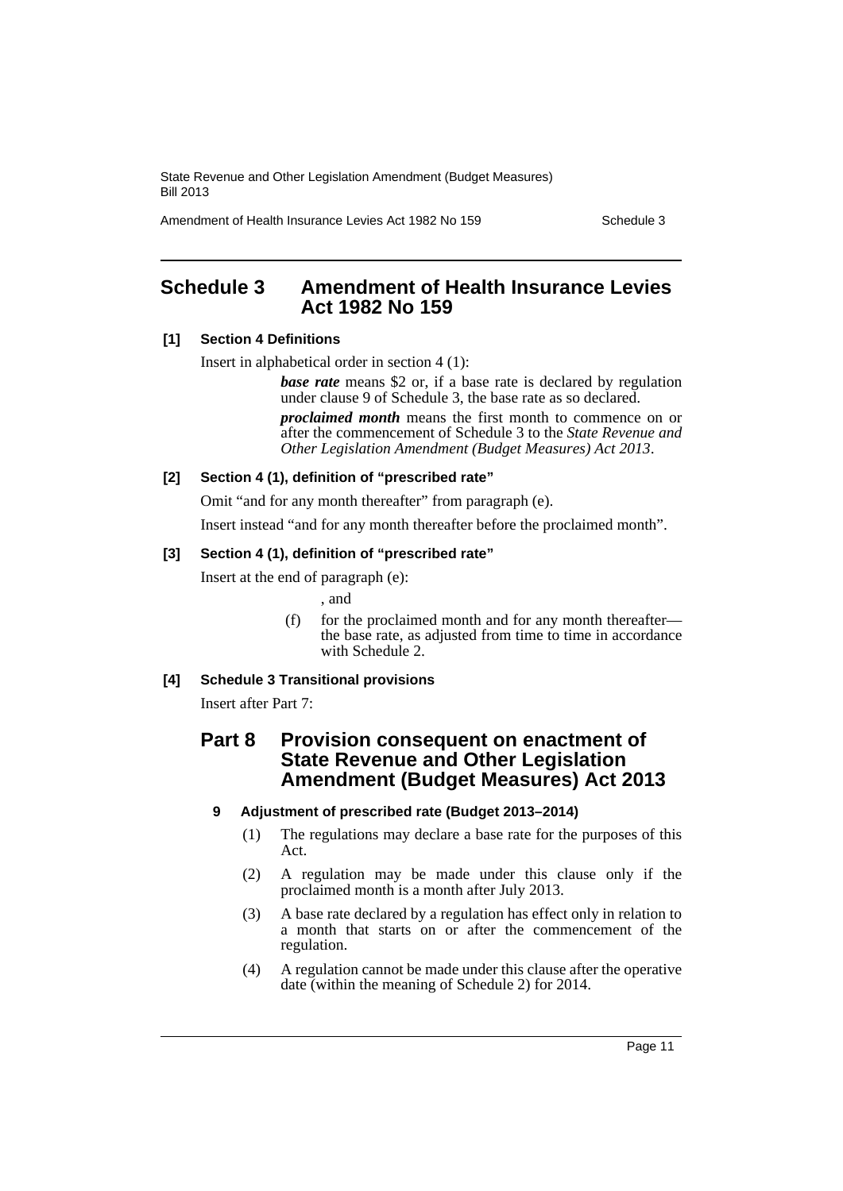Amendment of Health Insurance Levies Act 1982 No 159 Schedule 3

# <span id="page-12-0"></span>**Schedule 3 Amendment of Health Insurance Levies Act 1982 No 159**

### **[1] Section 4 Definitions**

Insert in alphabetical order in section 4 (1):

*base rate* means \$2 or, if a base rate is declared by regulation under clause 9 of Schedule 3, the base rate as so declared.

*proclaimed month* means the first month to commence on or after the commencement of Schedule 3 to the *State Revenue and Other Legislation Amendment (Budget Measures) Act 2013*.

#### **[2] Section 4 (1), definition of "prescribed rate"**

Omit "and for any month thereafter" from paragraph (e).

Insert instead "and for any month thereafter before the proclaimed month".

### **[3] Section 4 (1), definition of "prescribed rate"**

Insert at the end of paragraph (e):

, and

(f) for the proclaimed month and for any month thereafter the base rate, as adjusted from time to time in accordance with Schedule 2.

#### **[4] Schedule 3 Transitional provisions**

Insert after Part 7:

# **Part 8 Provision consequent on enactment of State Revenue and Other Legislation Amendment (Budget Measures) Act 2013**

### **9 Adjustment of prescribed rate (Budget 2013–2014)**

- (1) The regulations may declare a base rate for the purposes of this Act.
- (2) A regulation may be made under this clause only if the proclaimed month is a month after July 2013.
- (3) A base rate declared by a regulation has effect only in relation to a month that starts on or after the commencement of the regulation.
- (4) A regulation cannot be made under this clause after the operative date (within the meaning of Schedule 2) for 2014.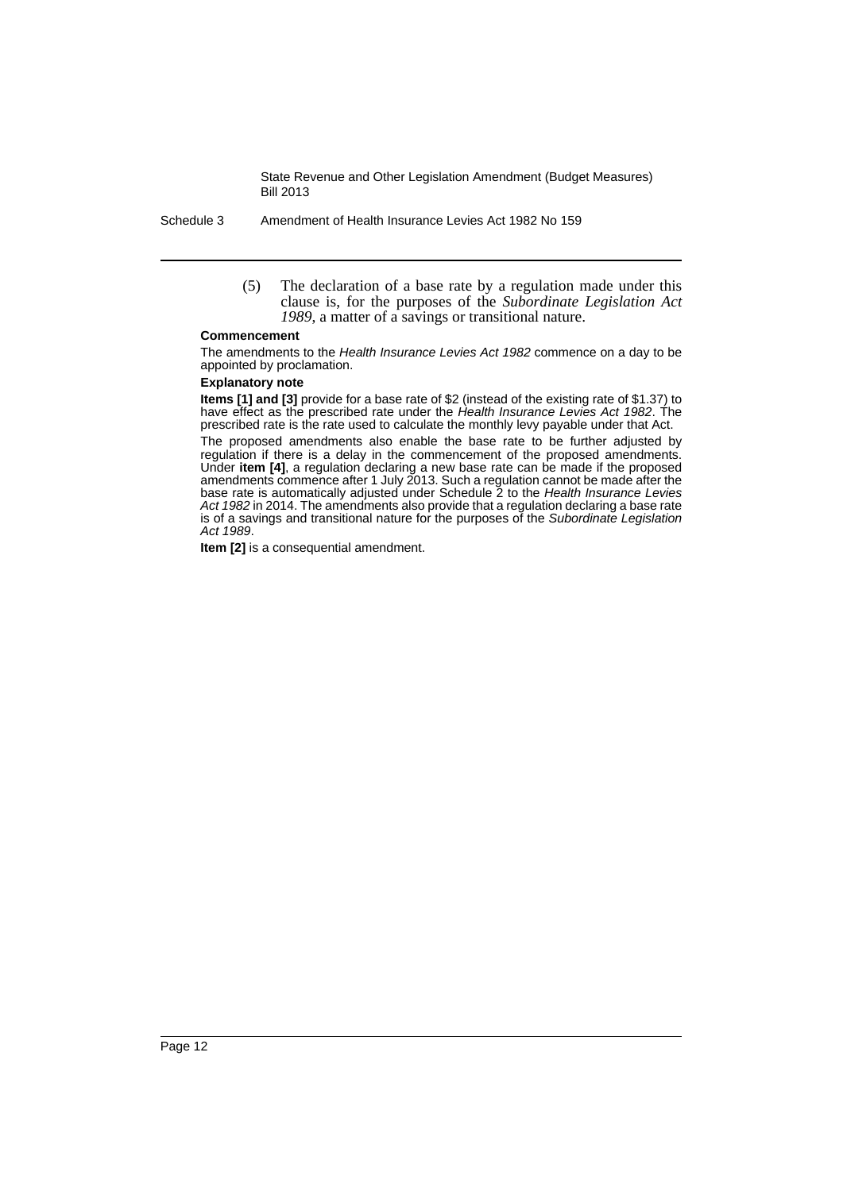Schedule 3 Amendment of Health Insurance Levies Act 1982 No 159

(5) The declaration of a base rate by a regulation made under this clause is, for the purposes of the *Subordinate Legislation Act 1989*, a matter of a savings or transitional nature.

#### **Commencement**

The amendments to the *Health Insurance Levies Act 1982* commence on a day to be appointed by proclamation.

#### **Explanatory note**

**Items [1] and [3]** provide for a base rate of \$2 (instead of the existing rate of \$1.37) to have effect as the prescribed rate under the *Health Insurance Levies Act 1982*. The prescribed rate is the rate used to calculate the monthly levy payable under that Act.

The proposed amendments also enable the base rate to be further adjusted by regulation if there is a delay in the commencement of the proposed amendments. Under **item [4]**, a regulation declaring a new base rate can be made if the proposed amendments commence after 1 July 2013. Such a regulation cannot be made after the base rate is automatically adjusted under Schedule 2 to the *Health Insurance Levies Act 1982* in 2014. The amendments also provide that a regulation declaring a base rate is of a savings and transitional nature for the purposes of the *Subordinate Legislation Act 1989*.

**Item [2]** is a consequential amendment.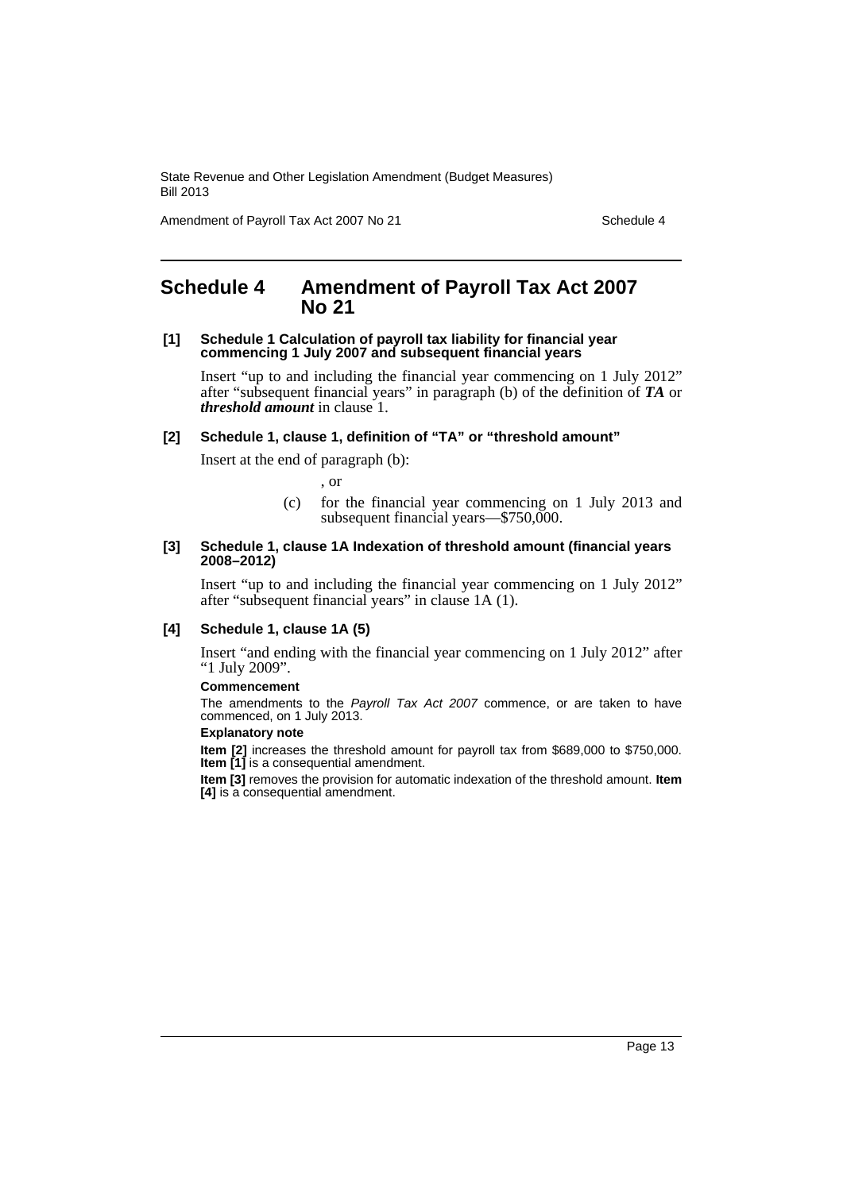Amendment of Payroll Tax Act 2007 No 21 Schedule 4

# <span id="page-14-0"></span>**Schedule 4 Amendment of Payroll Tax Act 2007 No 21**

#### **[1] Schedule 1 Calculation of payroll tax liability for financial year commencing 1 July 2007 and subsequent financial years**

Insert "up to and including the financial year commencing on 1 July 2012" after "subsequent financial years" in paragraph (b) of the definition of *TA* or *threshold amount* in clause 1.

#### **[2] Schedule 1, clause 1, definition of "TA" or "threshold amount"**

Insert at the end of paragraph (b):

, or

(c) for the financial year commencing on 1 July 2013 and subsequent financial years—\$750,000.

#### **[3] Schedule 1, clause 1A Indexation of threshold amount (financial years 2008–2012)**

Insert "up to and including the financial year commencing on 1 July 2012" after "subsequent financial years" in clause 1A (1).

#### **[4] Schedule 1, clause 1A (5)**

Insert "and ending with the financial year commencing on 1 July 2012" after "1 July 2009".

#### **Commencement**

The amendments to the *Payroll Tax Act 2007* commence, or are taken to have commenced, on 1 July 2013.

### **Explanatory note**

**Item [2]** increases the threshold amount for payroll tax from \$689,000 to \$750,000. **Item [1]** is a consequential amendment.

**Item [3]** removes the provision for automatic indexation of the threshold amount. **Item [4]** is a consequential amendment.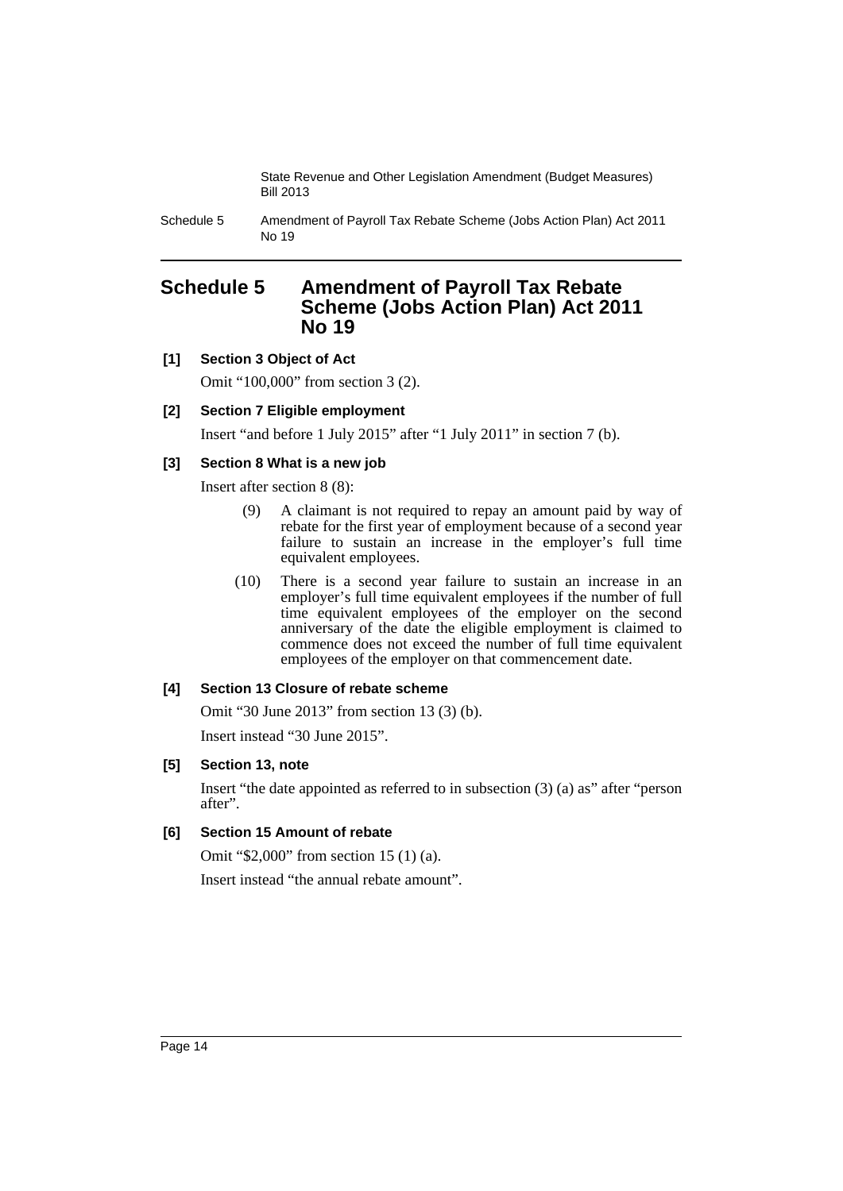Schedule 5 Amendment of Payroll Tax Rebate Scheme (Jobs Action Plan) Act 2011 No 19

# <span id="page-15-0"></span>**Schedule 5 Amendment of Payroll Tax Rebate Scheme (Jobs Action Plan) Act 2011 No 19**

## **[1] Section 3 Object of Act**

Omit "100,000" from section 3 (2).

## **[2] Section 7 Eligible employment**

Insert "and before 1 July 2015" after "1 July 2011" in section 7 (b).

## **[3] Section 8 What is a new job**

Insert after section 8 (8):

- (9) A claimant is not required to repay an amount paid by way of rebate for the first year of employment because of a second year failure to sustain an increase in the employer's full time equivalent employees.
- (10) There is a second year failure to sustain an increase in an employer's full time equivalent employees if the number of full time equivalent employees of the employer on the second anniversary of the date the eligible employment is claimed to commence does not exceed the number of full time equivalent employees of the employer on that commencement date.

## **[4] Section 13 Closure of rebate scheme**

Omit "30 June 2013" from section 13 (3) (b).

Insert instead "30 June 2015".

## **[5] Section 13, note**

Insert "the date appointed as referred to in subsection (3) (a) as" after "person after".

# **[6] Section 15 Amount of rebate**

Omit "\$2,000" from section 15 (1) (a).

Insert instead "the annual rebate amount".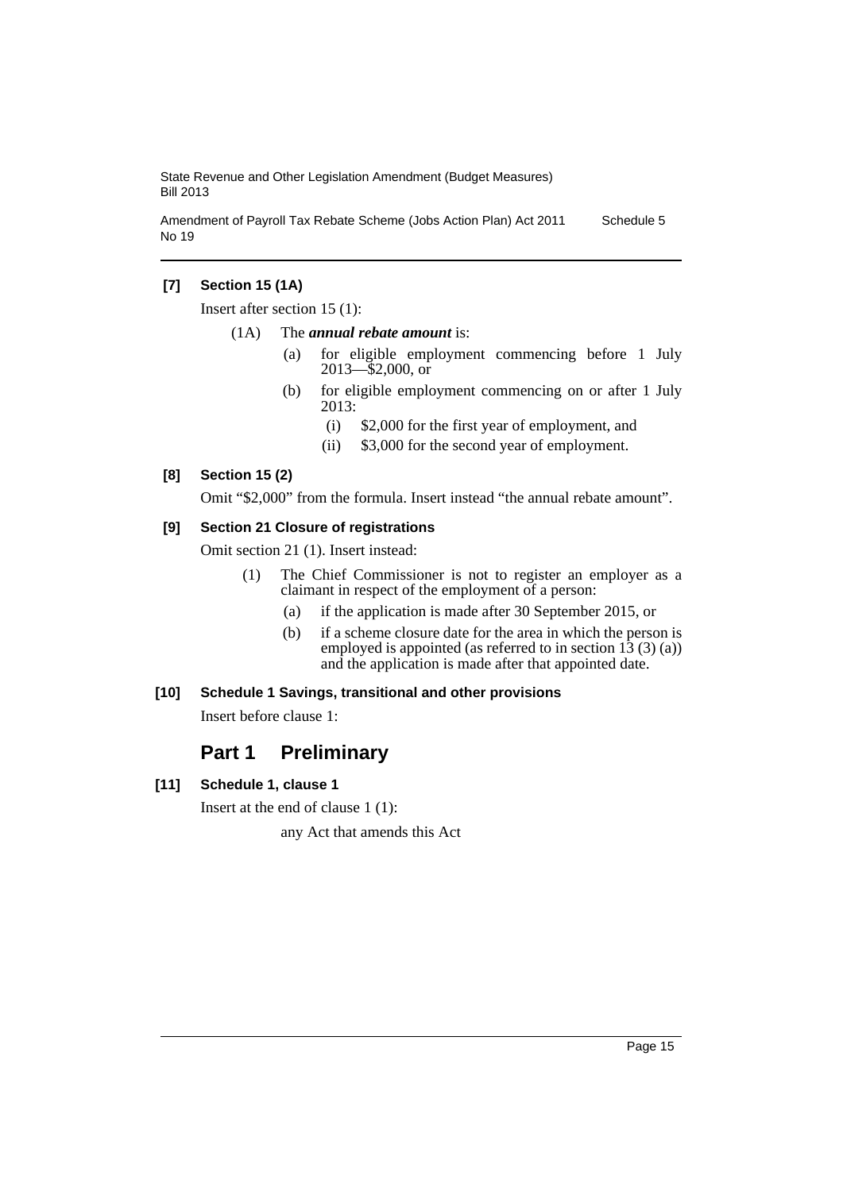Amendment of Payroll Tax Rebate Scheme (Jobs Action Plan) Act 2011 No 19 Schedule 5

# **[7] Section 15 (1A)**

Insert after section 15 (1):

- (1A) The *annual rebate amount* is:
	- (a) for eligible employment commencing before 1 July 2013—\$2,000, or
	- (b) for eligible employment commencing on or after 1 July 2013:
		- (i) \$2,000 for the first year of employment, and
		- (ii) \$3,000 for the second year of employment.

#### **[8] Section 15 (2)**

Omit "\$2,000" from the formula. Insert instead "the annual rebate amount".

#### **[9] Section 21 Closure of registrations**

Omit section 21 (1). Insert instead:

- (1) The Chief Commissioner is not to register an employer as a claimant in respect of the employment of a person:
	- (a) if the application is made after 30 September 2015, or
	- (b) if a scheme closure date for the area in which the person is employed is appointed (as referred to in section  $13(3)(a)$ ) and the application is made after that appointed date.

# **[10] Schedule 1 Savings, transitional and other provisions**

Insert before clause 1:

# **Part 1 Preliminary**

# **[11] Schedule 1, clause 1**

Insert at the end of clause 1 (1): any Act that amends this Act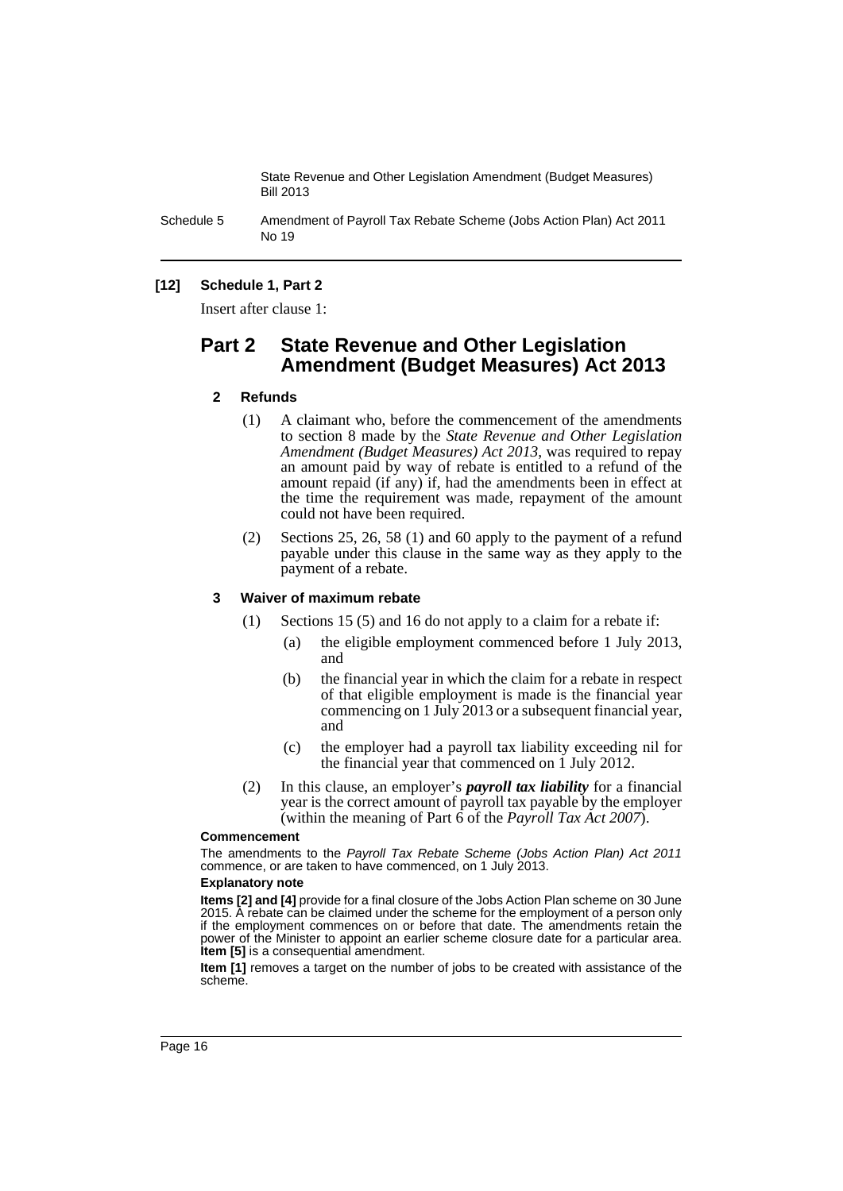Schedule 5 Amendment of Payroll Tax Rebate Scheme (Jobs Action Plan) Act 2011 No 19

### **[12] Schedule 1, Part 2**

Insert after clause 1:

# **Part 2 State Revenue and Other Legislation Amendment (Budget Measures) Act 2013**

#### **2 Refunds**

- (1) A claimant who, before the commencement of the amendments to section 8 made by the *State Revenue and Other Legislation Amendment (Budget Measures) Act 2013*, was required to repay an amount paid by way of rebate is entitled to a refund of the amount repaid (if any) if, had the amendments been in effect at the time the requirement was made, repayment of the amount could not have been required.
- (2) Sections 25, 26, 58 (1) and 60 apply to the payment of a refund payable under this clause in the same way as they apply to the payment of a rebate.

#### **3 Waiver of maximum rebate**

- (1) Sections 15 (5) and 16 do not apply to a claim for a rebate if:
	- (a) the eligible employment commenced before 1 July 2013, and
	- (b) the financial year in which the claim for a rebate in respect of that eligible employment is made is the financial year commencing on 1 July 2013 or a subsequent financial year, and
	- (c) the employer had a payroll tax liability exceeding nil for the financial year that commenced on 1 July 2012.
- (2) In this clause, an employer's *payroll tax liability* for a financial year is the correct amount of payroll tax payable by the employer (within the meaning of Part 6 of the *Payroll Tax Act 2007*).

#### **Commencement**

The amendments to the *Payroll Tax Rebate Scheme (Jobs Action Plan) Act 2011* commence, or are taken to have commenced, on 1 July 2013.

#### **Explanatory note**

**Items [2] and [4]** provide for a final closure of the Jobs Action Plan scheme on 30 June 2015. A rebate can be claimed under the scheme for the employment of a person only if the employment commences on or before that date. The amendments retain the power of the Minister to appoint an earlier scheme closure date for a particular area. **Item [5]** is a consequential amendment.

**Item [1]** removes a target on the number of jobs to be created with assistance of the scheme.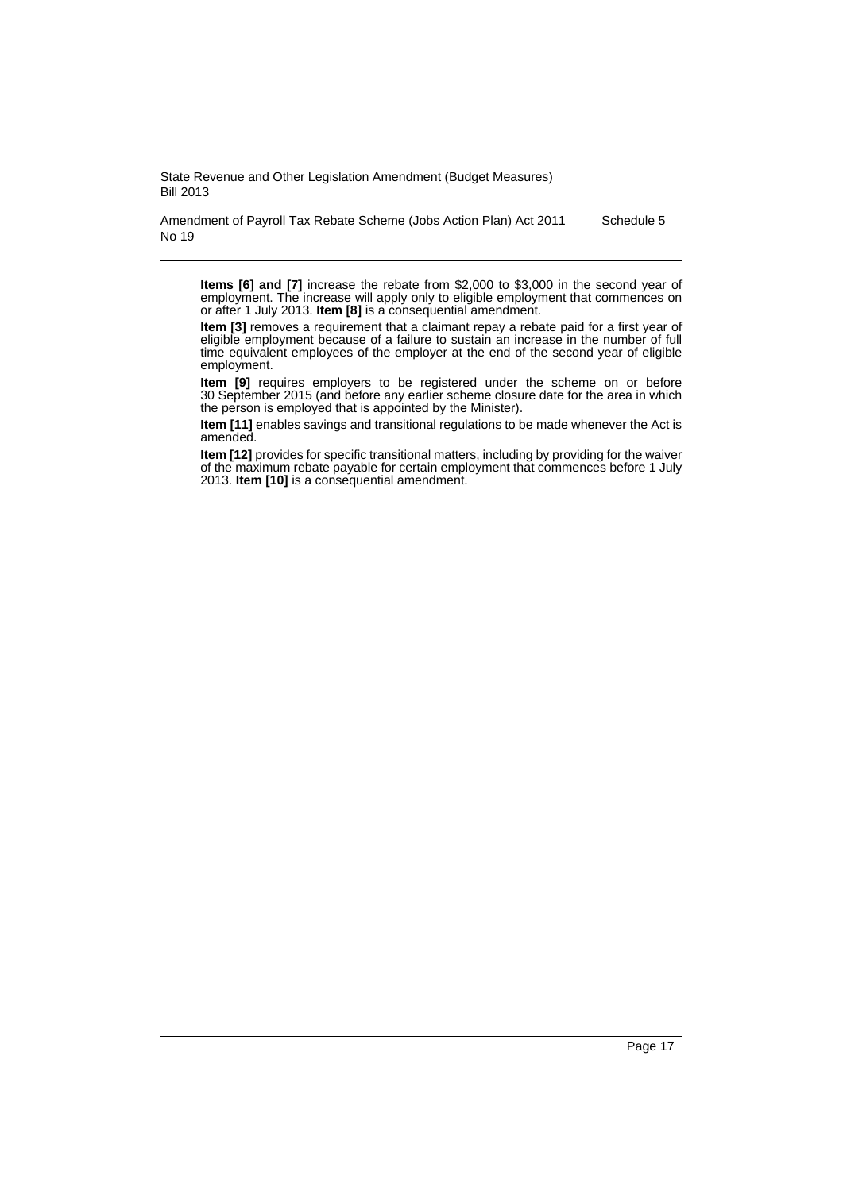Amendment of Payroll Tax Rebate Scheme (Jobs Action Plan) Act 2011 No 19 Schedule 5

**Items [6] and [7]** increase the rebate from \$2,000 to \$3,000 in the second year of employment. The increase will apply only to eligible employment that commences on or after 1 July 2013. **Item [8]** is a consequential amendment.

**Item [3]** removes a requirement that a claimant repay a rebate paid for a first year of eligible employment because of a failure to sustain an increase in the number of full time equivalent employees of the employer at the end of the second year of eligible employment.

**Item [9]** requires employers to be registered under the scheme on or before 30 September 2015 (and before any earlier scheme closure date for the area in which the person is employed that is appointed by the Minister).

**Item [11]** enables savings and transitional regulations to be made whenever the Act is amended.

**Item [12]** provides for specific transitional matters, including by providing for the waiver of the maximum rebate payable for certain employment that commences before 1 July 2013. **Item [10]** is a consequential amendment.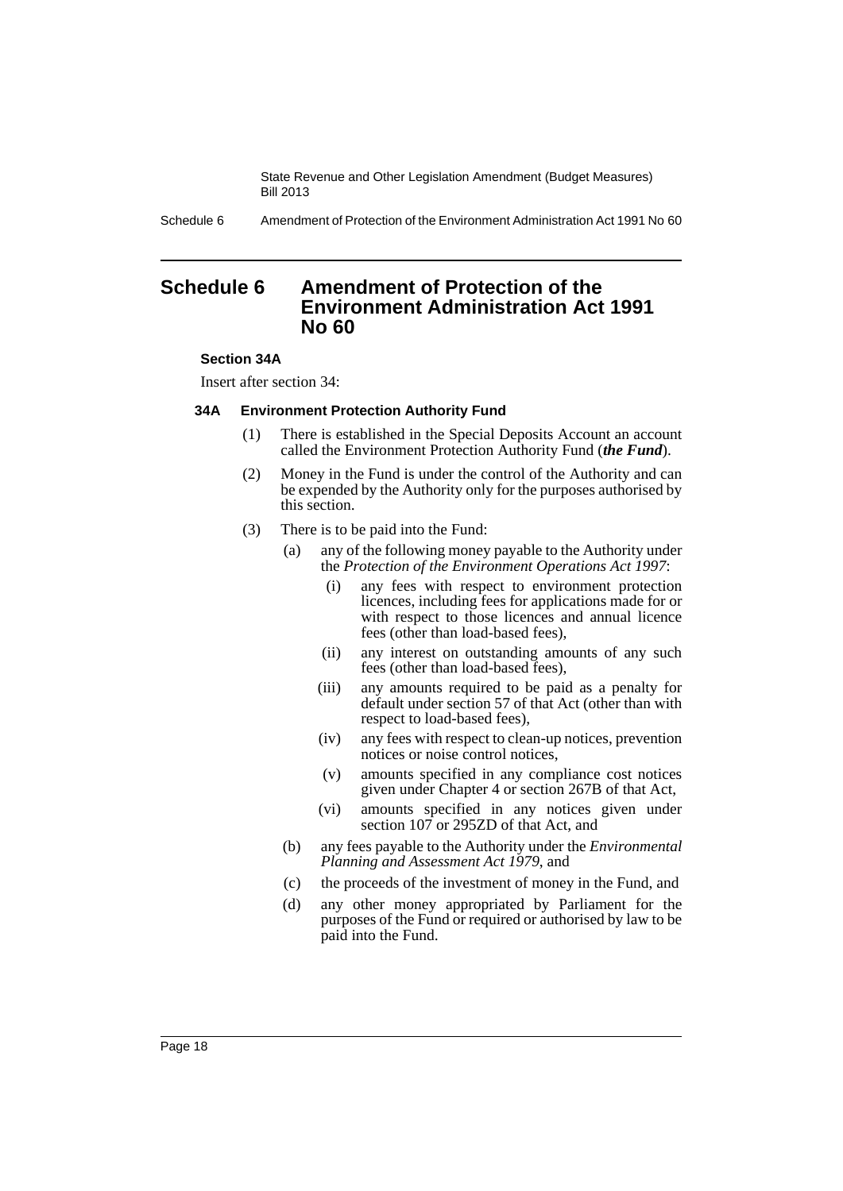Schedule 6 Amendment of Protection of the Environment Administration Act 1991 No 60

# <span id="page-19-0"></span>**Schedule 6 Amendment of Protection of the Environment Administration Act 1991 No 60**

## **Section 34A**

Insert after section 34:

## **34A Environment Protection Authority Fund**

- (1) There is established in the Special Deposits Account an account called the Environment Protection Authority Fund (*the Fund*).
- (2) Money in the Fund is under the control of the Authority and can be expended by the Authority only for the purposes authorised by this section.
- (3) There is to be paid into the Fund:
	- (a) any of the following money payable to the Authority under the *Protection of the Environment Operations Act 1997*:
		- (i) any fees with respect to environment protection licences, including fees for applications made for or with respect to those licences and annual licence fees (other than load-based fees),
		- (ii) any interest on outstanding amounts of any such fees (other than load-based fees),
		- (iii) any amounts required to be paid as a penalty for default under section 57 of that Act (other than with respect to load-based fees),
		- (iv) any fees with respect to clean-up notices, prevention notices or noise control notices,
		- (v) amounts specified in any compliance cost notices given under Chapter 4 or section 267B of that Act,
		- (vi) amounts specified in any notices given under section 107 or 295ZD of that Act, and
	- (b) any fees payable to the Authority under the *Environmental Planning and Assessment Act 1979*, and
	- (c) the proceeds of the investment of money in the Fund, and
	- (d) any other money appropriated by Parliament for the purposes of the Fund or required or authorised by law to be paid into the Fund.